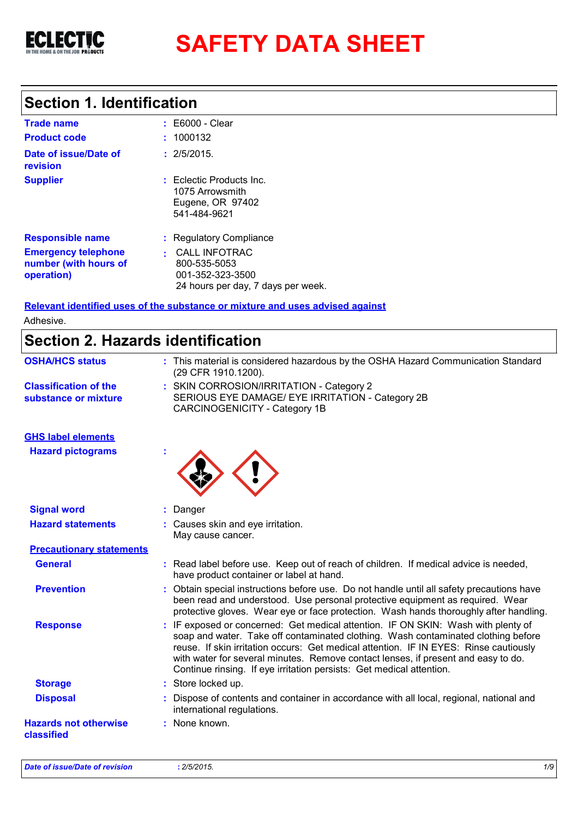

# **SAFETY DATA SHEET**

### **Section 1. Identification**

| <b>Trade name</b>                                                 | $: E6000 - Clear$                                                                         |
|-------------------------------------------------------------------|-------------------------------------------------------------------------------------------|
| <b>Product code</b>                                               | : 1000132                                                                                 |
| Date of issue/Date of<br>revision                                 | : 2/5/2015.                                                                               |
| <b>Supplier</b>                                                   | : Eclectic Products Inc.<br>1075 Arrowsmith<br>Eugene, OR 97402<br>541-484-9621           |
| <b>Responsible name</b>                                           | : Regulatory Compliance                                                                   |
| <b>Emergency telephone</b><br>number (with hours of<br>operation) | : CALL INFOTRAC<br>800-535-5053<br>001-352-323-3500<br>24 hours per day, 7 days per week. |

**Relevant identified uses of the substance or mixture and uses advised against** Adhesive.

### **Section 2. Hazards identification**

| <b>Classification of the</b>               | : SKIN CORROSION/IRRITATION - Category 2                                                                                                                                                                                                                                                                                                                                                                                     |
|--------------------------------------------|------------------------------------------------------------------------------------------------------------------------------------------------------------------------------------------------------------------------------------------------------------------------------------------------------------------------------------------------------------------------------------------------------------------------------|
| substance or mixture                       | SERIOUS EYE DAMAGE/ EYE IRRITATION - Category 2B<br>CARCINOGENICITY - Category 1B                                                                                                                                                                                                                                                                                                                                            |
| <b>GHS label elements</b>                  |                                                                                                                                                                                                                                                                                                                                                                                                                              |
| <b>Hazard pictograms</b>                   |                                                                                                                                                                                                                                                                                                                                                                                                                              |
| <b>Signal word</b>                         | : Danger                                                                                                                                                                                                                                                                                                                                                                                                                     |
| <b>Hazard statements</b>                   | : Causes skin and eye irritation.<br>May cause cancer.                                                                                                                                                                                                                                                                                                                                                                       |
| <b>Precautionary statements</b>            |                                                                                                                                                                                                                                                                                                                                                                                                                              |
| <b>General</b>                             | : Read label before use. Keep out of reach of children. If medical advice is needed,<br>have product container or label at hand.                                                                                                                                                                                                                                                                                             |
| <b>Prevention</b>                          | : Obtain special instructions before use. Do not handle until all safety precautions have<br>been read and understood. Use personal protective equipment as required. Wear<br>protective gloves. Wear eye or face protection. Wash hands thoroughly after handling.                                                                                                                                                          |
| <b>Response</b>                            | : IF exposed or concerned: Get medical attention. IF ON SKIN: Wash with plenty of<br>soap and water. Take off contaminated clothing. Wash contaminated clothing before<br>reuse. If skin irritation occurs: Get medical attention. IF IN EYES: Rinse cautiously<br>with water for several minutes. Remove contact lenses, if present and easy to do.<br>Continue rinsing. If eye irritation persists: Get medical attention. |
| <b>Storage</b>                             | : Store locked up.                                                                                                                                                                                                                                                                                                                                                                                                           |
| <b>Disposal</b>                            | : Dispose of contents and container in accordance with all local, regional, national and<br>international regulations.                                                                                                                                                                                                                                                                                                       |
| <b>Hazards not otherwise</b><br>classified | : None known.                                                                                                                                                                                                                                                                                                                                                                                                                |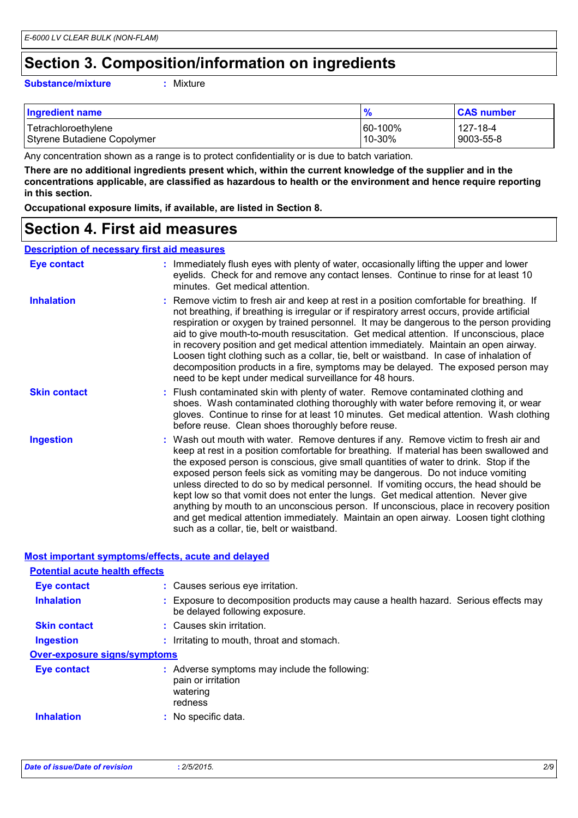### **Section 3. Composition/information on ingredients**

#### **Substance/mixture :**

: Mixture

| <b>Ingredient name</b>      | $\frac{9}{6}$ | <b>CAS number</b> |
|-----------------------------|---------------|-------------------|
| Tetrachloroethylene         | 60-100%       | 127-18-4          |
| Styrene Butadiene Copolymer | $110 - 30%$   | 9003-55-8         |

Any concentration shown as a range is to protect confidentiality or is due to batch variation.

**There are no additional ingredients present which, within the current knowledge of the supplier and in the concentrations applicable, are classified as hazardous to health or the environment and hence require reporting in this section.**

**Occupational exposure limits, if available, are listed in Section 8.**

### **Section 4. First aid measures**

#### **Description of necessary first aid measures**

| <b>Eye contact</b>  | : Immediately flush eyes with plenty of water, occasionally lifting the upper and lower<br>eyelids. Check for and remove any contact lenses. Continue to rinse for at least 10<br>minutes. Get medical attention.                                                                                                                                                                                                                                                                                                                                                                                                                                                                                                                                                         |
|---------------------|---------------------------------------------------------------------------------------------------------------------------------------------------------------------------------------------------------------------------------------------------------------------------------------------------------------------------------------------------------------------------------------------------------------------------------------------------------------------------------------------------------------------------------------------------------------------------------------------------------------------------------------------------------------------------------------------------------------------------------------------------------------------------|
| <b>Inhalation</b>   | : Remove victim to fresh air and keep at rest in a position comfortable for breathing. If<br>not breathing, if breathing is irregular or if respiratory arrest occurs, provide artificial<br>respiration or oxygen by trained personnel. It may be dangerous to the person providing<br>aid to give mouth-to-mouth resuscitation. Get medical attention. If unconscious, place<br>in recovery position and get medical attention immediately. Maintain an open airway.<br>Loosen tight clothing such as a collar, tie, belt or waistband. In case of inhalation of<br>decomposition products in a fire, symptoms may be delayed. The exposed person may<br>need to be kept under medical surveillance for 48 hours.                                                       |
| <b>Skin contact</b> | : Flush contaminated skin with plenty of water. Remove contaminated clothing and<br>shoes. Wash contaminated clothing thoroughly with water before removing it, or wear<br>gloves. Continue to rinse for at least 10 minutes. Get medical attention. Wash clothing<br>before reuse. Clean shoes thoroughly before reuse.                                                                                                                                                                                                                                                                                                                                                                                                                                                  |
| <b>Ingestion</b>    | : Wash out mouth with water. Remove dentures if any. Remove victim to fresh air and<br>keep at rest in a position comfortable for breathing. If material has been swallowed and<br>the exposed person is conscious, give small quantities of water to drink. Stop if the<br>exposed person feels sick as vomiting may be dangerous. Do not induce vomiting<br>unless directed to do so by medical personnel. If vomiting occurs, the head should be<br>kept low so that vomit does not enter the lungs. Get medical attention. Never give<br>anything by mouth to an unconscious person. If unconscious, place in recovery position<br>and get medical attention immediately. Maintain an open airway. Loosen tight clothing<br>such as a collar, tie, belt or waistband. |

#### **Most important symptoms/effects, acute and delayed**

| <b>Potential acute health effects</b> |                                                                                                                       |
|---------------------------------------|-----------------------------------------------------------------------------------------------------------------------|
| Eye contact                           | : Causes serious eye irritation.                                                                                      |
| <b>Inhalation</b>                     | : Exposure to decomposition products may cause a health hazard. Serious effects may<br>be delayed following exposure. |
| <b>Skin contact</b>                   | : Causes skin irritation.                                                                                             |
| Ingestion                             | : Irritating to mouth, throat and stomach.                                                                            |
| <b>Over-exposure signs/symptoms</b>   |                                                                                                                       |
| <b>Eye contact</b>                    | : Adverse symptoms may include the following:<br>pain or irritation<br>watering<br>redness                            |
| <b>Inhalation</b>                     | : No specific data.                                                                                                   |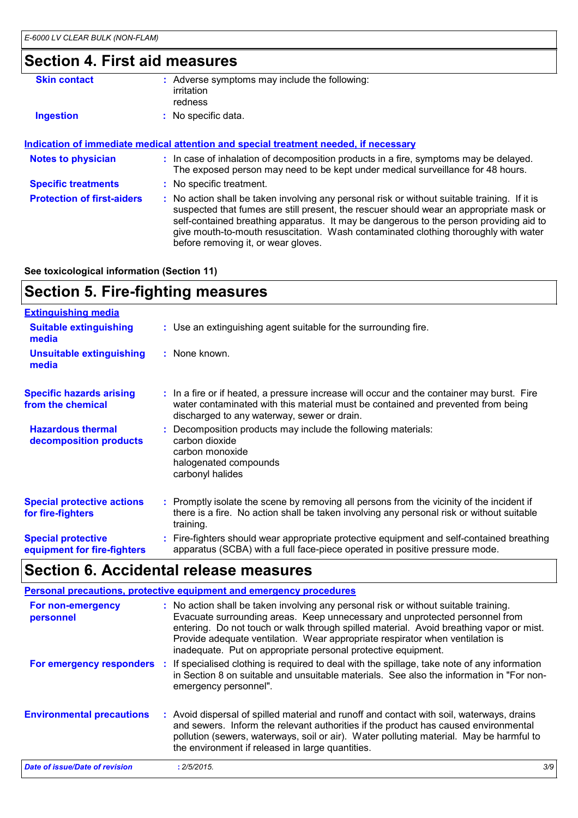### **Section 4. First aid measures**

| <b>Skin contact</b>               | : Adverse symptoms may include the following:<br>irritation<br>redness                                                                                                                                                                                                                                                                                                                                          |
|-----------------------------------|-----------------------------------------------------------------------------------------------------------------------------------------------------------------------------------------------------------------------------------------------------------------------------------------------------------------------------------------------------------------------------------------------------------------|
| <b>Ingestion</b>                  | : No specific data.                                                                                                                                                                                                                                                                                                                                                                                             |
|                                   | <u>Indication of immediate medical attention and special treatment needed, if necessary</u>                                                                                                                                                                                                                                                                                                                     |
| <b>Notes to physician</b>         | : In case of inhalation of decomposition products in a fire, symptoms may be delayed.<br>The exposed person may need to be kept under medical surveillance for 48 hours.                                                                                                                                                                                                                                        |
| <b>Specific treatments</b>        | : No specific treatment.                                                                                                                                                                                                                                                                                                                                                                                        |
| <b>Protection of first-aiders</b> | : No action shall be taken involving any personal risk or without suitable training. If it is<br>suspected that fumes are still present, the rescuer should wear an appropriate mask or<br>self-contained breathing apparatus. It may be dangerous to the person providing aid to<br>give mouth-to-mouth resuscitation. Wash contaminated clothing thoroughly with water<br>before removing it, or wear gloves. |

**See toxicological information (Section 11)**

### **Section 5. Fire-fighting measures**

| <b>Extinguishing media</b>                               |                                                                                                                                                                                                                               |  |
|----------------------------------------------------------|-------------------------------------------------------------------------------------------------------------------------------------------------------------------------------------------------------------------------------|--|
| <b>Suitable extinguishing</b><br>media                   | : Use an extinguishing agent suitable for the surrounding fire.                                                                                                                                                               |  |
| <b>Unsuitable extinguishing</b><br>media                 | : None known.                                                                                                                                                                                                                 |  |
| <b>Specific hazards arising</b><br>from the chemical     | : In a fire or if heated, a pressure increase will occur and the container may burst. Fire<br>water contaminated with this material must be contained and prevented from being<br>discharged to any waterway, sewer or drain. |  |
| <b>Hazardous thermal</b><br>decomposition products       | Decomposition products may include the following materials:<br>carbon dioxide<br>carbon monoxide<br>halogenated compounds<br>carbonyl halides                                                                                 |  |
| <b>Special protective actions</b><br>for fire-fighters   | : Promptly isolate the scene by removing all persons from the vicinity of the incident if<br>there is a fire. No action shall be taken involving any personal risk or without suitable<br>training.                           |  |
| <b>Special protective</b><br>equipment for fire-fighters | : Fire-fighters should wear appropriate protective equipment and self-contained breathing<br>apparatus (SCBA) with a full face-piece operated in positive pressure mode.                                                      |  |

### **Section 6. Accidental release measures**

|                                  | <b>Personal precautions, protective equipment and emergency procedures</b>                                                                                                                                                                                                                                                                                                                                       |     |
|----------------------------------|------------------------------------------------------------------------------------------------------------------------------------------------------------------------------------------------------------------------------------------------------------------------------------------------------------------------------------------------------------------------------------------------------------------|-----|
| For non-emergency<br>personnel   | : No action shall be taken involving any personal risk or without suitable training.<br>Evacuate surrounding areas. Keep unnecessary and unprotected personnel from<br>entering. Do not touch or walk through spilled material. Avoid breathing vapor or mist.<br>Provide adequate ventilation. Wear appropriate respirator when ventilation is<br>inadequate. Put on appropriate personal protective equipment. |     |
| For emergency responders :       | If specialised clothing is required to deal with the spillage, take note of any information<br>in Section 8 on suitable and unsuitable materials. See also the information in "For non-<br>emergency personnel".                                                                                                                                                                                                 |     |
| <b>Environmental precautions</b> | : Avoid dispersal of spilled material and runoff and contact with soil, waterways, drains<br>and sewers. Inform the relevant authorities if the product has caused environmental<br>pollution (sewers, waterways, soil or air). Water polluting material. May be harmful to<br>the environment if released in large quantities.                                                                                  |     |
| Date of issue/Date of revision   | : 2/5/2015.                                                                                                                                                                                                                                                                                                                                                                                                      | 3/9 |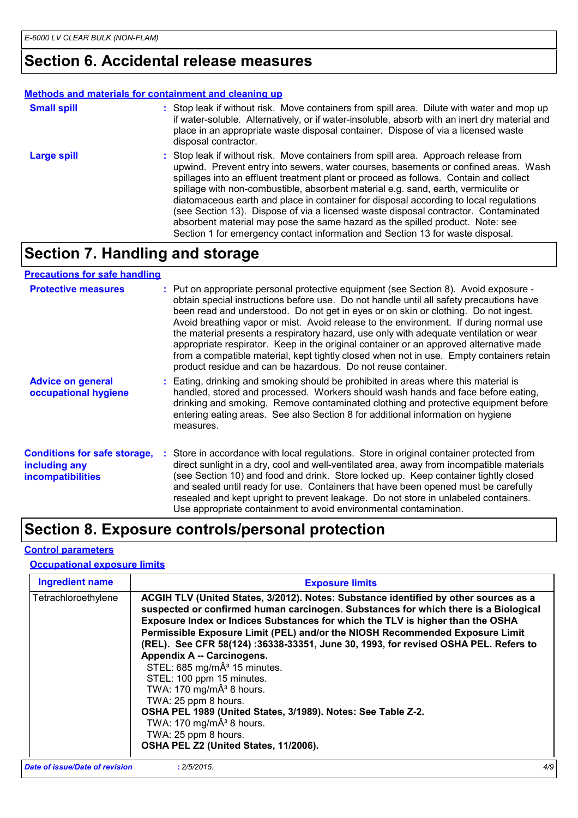### **Section 6. Accidental release measures**

#### **Methods and materials for containment and cleaning up**

| <b>Small spill</b> | : Stop leak if without risk. Move containers from spill area. Dilute with water and mop up<br>if water-soluble. Alternatively, or if water-insoluble, absorb with an inert dry material and<br>place in an appropriate waste disposal container. Dispose of via a licensed waste<br>disposal contractor.                                                                                                                                                                                                                                                                                                                                                                                                     |
|--------------------|--------------------------------------------------------------------------------------------------------------------------------------------------------------------------------------------------------------------------------------------------------------------------------------------------------------------------------------------------------------------------------------------------------------------------------------------------------------------------------------------------------------------------------------------------------------------------------------------------------------------------------------------------------------------------------------------------------------|
| Large spill        | : Stop leak if without risk. Move containers from spill area. Approach release from<br>upwind. Prevent entry into sewers, water courses, basements or confined areas. Wash<br>spillages into an effluent treatment plant or proceed as follows. Contain and collect<br>spillage with non-combustible, absorbent material e.g. sand, earth, vermiculite or<br>diatomaceous earth and place in container for disposal according to local regulations<br>(see Section 13). Dispose of via a licensed waste disposal contractor. Contaminated<br>absorbent material may pose the same hazard as the spilled product. Note: see<br>Section 1 for emergency contact information and Section 13 for waste disposal. |

### **Section 7. Handling and storage**

#### **Advice on general occupational hygiene Conditions for safe storage, :** Store in accordance with local regulations. Store in original container protected from **including any incompatibilities** Eating, drinking and smoking should be prohibited in areas where this material is **:** handled, stored and processed. Workers should wash hands and face before eating, drinking and smoking. Remove contaminated clothing and protective equipment before entering eating areas. See also Section 8 for additional information on hygiene measures. direct sunlight in a dry, cool and well-ventilated area, away from incompatible materials (see Section 10) and food and drink. Store locked up. Keep container tightly closed and sealed until ready for use. Containers that have been opened must be carefully resealed and kept upright to prevent leakage. Do not store in unlabeled containers. Use appropriate containment to avoid environmental contamination. **Protective measures** : Put on appropriate personal protective equipment (see Section 8). Avoid exposure obtain special instructions before use. Do not handle until all safety precautions have been read and understood. Do not get in eyes or on skin or clothing. Do not ingest. Avoid breathing vapor or mist. Avoid release to the environment. If during normal use the material presents a respiratory hazard, use only with adequate ventilation or wear appropriate respirator. Keep in the original container or an approved alternative made from a compatible material, kept tightly closed when not in use. Empty containers retain product residue and can be hazardous. Do not reuse container. **Precautions for safe handling**

### **Section 8. Exposure controls/personal protection**

#### **Control parameters**

#### **Occupational exposure limits**

| <b>Ingredient name</b>         | <b>Exposure limits</b>                                                                                                                                                                                                                                                                                                                                                                                                                                                                                                                                                                                                                                                                                                                                                             |     |
|--------------------------------|------------------------------------------------------------------------------------------------------------------------------------------------------------------------------------------------------------------------------------------------------------------------------------------------------------------------------------------------------------------------------------------------------------------------------------------------------------------------------------------------------------------------------------------------------------------------------------------------------------------------------------------------------------------------------------------------------------------------------------------------------------------------------------|-----|
| Tetrachloroethylene            | ACGIH TLV (United States, 3/2012). Notes: Substance identified by other sources as a<br>suspected or confirmed human carcinogen. Substances for which there is a Biological<br>Exposure Index or Indices Substances for which the TLV is higher than the OSHA<br>Permissible Exposure Limit (PEL) and/or the NIOSH Recommended Exposure Limit<br>(REL). See CFR 58(124) :36338-33351, June 30, 1993, for revised OSHA PEL. Refers to<br>Appendix A -- Carcinogens.<br>STEL: 685 mg/mÂ <sup>3</sup> 15 minutes.<br>STEL: 100 ppm 15 minutes.<br>TWA: 170 mg/mÂ <sup>3</sup> 8 hours.<br>TWA: 25 ppm 8 hours.<br>OSHA PEL 1989 (United States, 3/1989). Notes: See Table Z-2.<br>TWA: 170 mg/m $\hat{A}^3$ 8 hours.<br>TWA: 25 ppm 8 hours.<br>OSHA PEL Z2 (United States, 11/2006). |     |
| Date of issue/Date of revision | : 2/5/2015.                                                                                                                                                                                                                                                                                                                                                                                                                                                                                                                                                                                                                                                                                                                                                                        | 4/9 |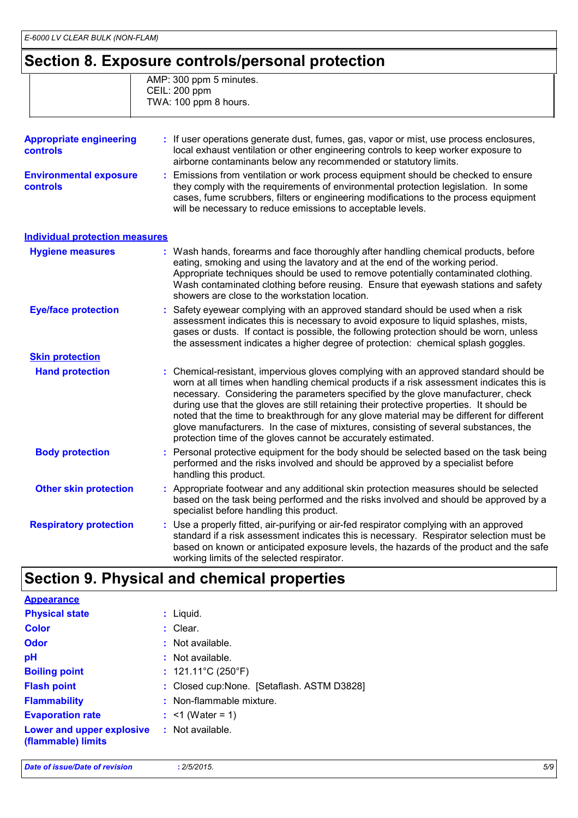### **Section 8. Exposure controls/personal protection**

|                                                  | AMP: 300 ppm 5 minutes.<br>CEIL: 200 ppm<br>TWA: 100 ppm 8 hours.                                                                                                                                                                                                                                                                                                                                                                                                                                                                                                                                                      |
|--------------------------------------------------|------------------------------------------------------------------------------------------------------------------------------------------------------------------------------------------------------------------------------------------------------------------------------------------------------------------------------------------------------------------------------------------------------------------------------------------------------------------------------------------------------------------------------------------------------------------------------------------------------------------------|
|                                                  |                                                                                                                                                                                                                                                                                                                                                                                                                                                                                                                                                                                                                        |
| <b>Appropriate engineering</b><br>controls       | : If user operations generate dust, fumes, gas, vapor or mist, use process enclosures,<br>local exhaust ventilation or other engineering controls to keep worker exposure to<br>airborne contaminants below any recommended or statutory limits.                                                                                                                                                                                                                                                                                                                                                                       |
| <b>Environmental exposure</b><br><b>controls</b> | Emissions from ventilation or work process equipment should be checked to ensure<br>they comply with the requirements of environmental protection legislation. In some<br>cases, fume scrubbers, filters or engineering modifications to the process equipment<br>will be necessary to reduce emissions to acceptable levels.                                                                                                                                                                                                                                                                                          |
| <b>Individual protection measures</b>            |                                                                                                                                                                                                                                                                                                                                                                                                                                                                                                                                                                                                                        |
| <b>Hygiene measures</b>                          | : Wash hands, forearms and face thoroughly after handling chemical products, before<br>eating, smoking and using the lavatory and at the end of the working period.<br>Appropriate techniques should be used to remove potentially contaminated clothing.<br>Wash contaminated clothing before reusing. Ensure that eyewash stations and safety<br>showers are close to the workstation location.                                                                                                                                                                                                                      |
| <b>Eye/face protection</b>                       | Safety eyewear complying with an approved standard should be used when a risk<br>assessment indicates this is necessary to avoid exposure to liquid splashes, mists,<br>gases or dusts. If contact is possible, the following protection should be worn, unless<br>the assessment indicates a higher degree of protection: chemical splash goggles.                                                                                                                                                                                                                                                                    |
| <b>Skin protection</b>                           |                                                                                                                                                                                                                                                                                                                                                                                                                                                                                                                                                                                                                        |
| <b>Hand protection</b>                           | : Chemical-resistant, impervious gloves complying with an approved standard should be<br>worn at all times when handling chemical products if a risk assessment indicates this is<br>necessary. Considering the parameters specified by the glove manufacturer, check<br>during use that the gloves are still retaining their protective properties. It should be<br>noted that the time to breakthrough for any glove material may be different for different<br>glove manufacturers. In the case of mixtures, consisting of several substances, the<br>protection time of the gloves cannot be accurately estimated. |
| <b>Body protection</b>                           | : Personal protective equipment for the body should be selected based on the task being<br>performed and the risks involved and should be approved by a specialist before<br>handling this product.                                                                                                                                                                                                                                                                                                                                                                                                                    |
| <b>Other skin protection</b>                     | : Appropriate footwear and any additional skin protection measures should be selected<br>based on the task being performed and the risks involved and should be approved by a<br>specialist before handling this product.                                                                                                                                                                                                                                                                                                                                                                                              |
| <b>Respiratory protection</b>                    | Use a properly fitted, air-purifying or air-fed respirator complying with an approved<br>standard if a risk assessment indicates this is necessary. Respirator selection must be<br>based on known or anticipated exposure levels, the hazards of the product and the safe<br>working limits of the selected respirator.                                                                                                                                                                                                                                                                                               |

## **Section 9. Physical and chemical properties**

| <b>Appearance</b>                               |                                            |
|-------------------------------------------------|--------------------------------------------|
| <b>Physical state</b>                           | $:$ Liquid.                                |
| <b>Color</b>                                    | $:$ Clear.                                 |
| Odor                                            | : Not available.                           |
| pH                                              | : Not available.                           |
| <b>Boiling point</b>                            | : $121.11^{\circ}$ C (250 $^{\circ}$ F)    |
| <b>Flash point</b>                              | : Closed cup:None. [Setaflash. ASTM D3828] |
| <b>Flammability</b>                             | $:$ Non-flammable mixture.                 |
| <b>Evaporation rate</b>                         | : $<$ 1 (Water = 1)                        |
| Lower and upper explosive<br>(flammable) limits | : Not available.                           |
|                                                 |                                            |

*Date of issue/Date of revision* **:** *2/5/2015. 5/9*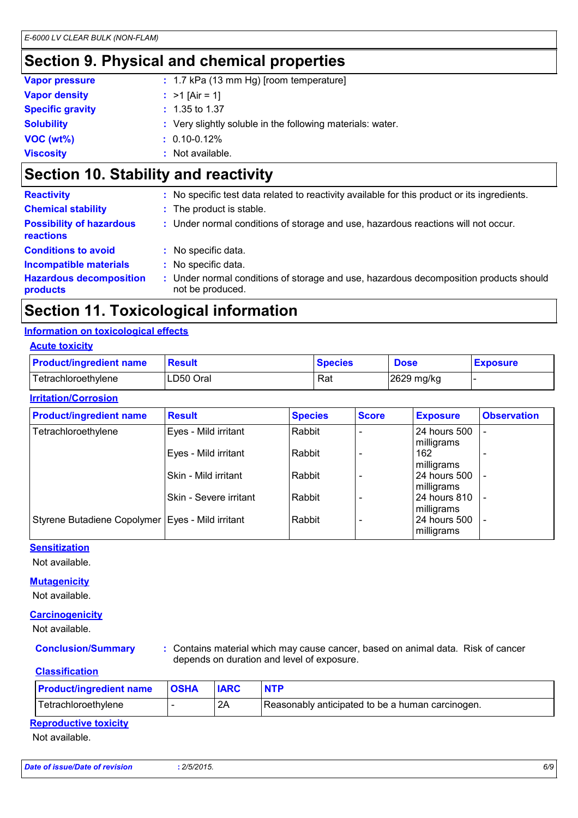### **Section 9. Physical and chemical properties**

| <b>Vapor pressure</b>   | $: 1.7$ kPa (13 mm Hg) [room temperature]                  |
|-------------------------|------------------------------------------------------------|
| <b>Vapor density</b>    | : $>1$ [Air = 1]                                           |
| <b>Specific gravity</b> | $: 1.35$ to 1.37                                           |
| <b>Solubility</b>       | : Very slightly soluble in the following materials: water. |
| VOC (wt%)               | $: 0.10 - 0.12\%$                                          |
| <b>Viscosity</b>        | : Not available.                                           |

### **Section 10. Stability and reactivity**

| <b>Reactivity</b>                                   | : No specific test data related to reactivity available for this product or its ingredients.              |
|-----------------------------------------------------|-----------------------------------------------------------------------------------------------------------|
| <b>Chemical stability</b>                           | : The product is stable.                                                                                  |
| <b>Possibility of hazardous</b><br><b>reactions</b> | : Under normal conditions of storage and use, hazardous reactions will not occur.                         |
| <b>Conditions to avoid</b>                          | : No specific data.                                                                                       |
| <b>Incompatible materials</b>                       | : No specific data.                                                                                       |
| <b>Hazardous decomposition</b><br><b>products</b>   | : Under normal conditions of storage and use, hazardous decomposition products should<br>not be produced. |

### **Section 11. Toxicological information**

#### **Information on toxicological effects**

#### **Acute toxicity**

| <b>Product/ingredient name</b> | <b>Result</b> | <b>Species</b> | <b>Dose</b> | <b>Exposure</b> |
|--------------------------------|---------------|----------------|-------------|-----------------|
| Tetrachloroethylene            | LD50 Oral     | Rat            | 2629 mg/kg  |                 |

#### **Irritation/Corrosion**

| <b>Product/ingredient name</b>                     | <b>Result</b>          | <b>Species</b> | <b>Score</b> | <b>Exposure</b>            | <b>Observation</b> |
|----------------------------------------------------|------------------------|----------------|--------------|----------------------------|--------------------|
| Tetrachloroethylene                                | Eyes - Mild irritant   | Rabbit         |              | 24 hours 500<br>milligrams |                    |
|                                                    | Eyes - Mild irritant   | Rabbit         |              | 162<br>milligrams          |                    |
|                                                    | Skin - Mild irritant   | Rabbit         |              | 24 hours 500<br>milligrams |                    |
|                                                    | Skin - Severe irritant | Rabbit         |              | 24 hours 810<br>milligrams |                    |
| Styrene Butadiene Copolymer   Eyes - Mild irritant |                        | Rabbit         |              | 24 hours 500<br>milligrams |                    |

#### **Sensitization**

Not available.

#### **Mutagenicity**

Not available.

#### **Carcinogenicity**

Not available.

**Conclusion/Summary :** Contains material which may cause cancer, based on animal data. Risk of cancer depends on duration and level of exposure.

#### **Classification**

| <b>Product/ingredient name</b> | <b>OSHA</b> |    |                                                  |
|--------------------------------|-------------|----|--------------------------------------------------|
| Tetrachloroethylene            |             | 2A | Reasonably anticipated to be a human carcinogen. |

#### **Reproductive toxicity**

Not available.

| Date of issue/Date of revision | : 2/5/2015. |  |
|--------------------------------|-------------|--|
|                                |             |  |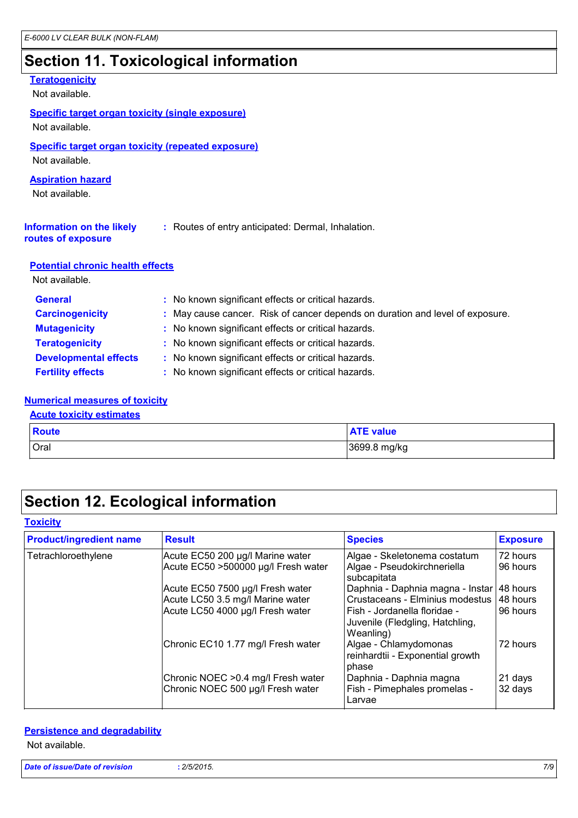### **Section 11. Toxicological information**

| <b>Teratogenicity</b><br>Not available.                                     |                                                                               |
|-----------------------------------------------------------------------------|-------------------------------------------------------------------------------|
| <b>Specific target organ toxicity (single exposure)</b><br>Not available.   |                                                                               |
| <b>Specific target organ toxicity (repeated exposure)</b><br>Not available. |                                                                               |
| <b>Aspiration hazard</b><br>Not available.                                  |                                                                               |
| <b>Information on the likely</b><br>routes of exposure                      | : Routes of entry anticipated: Dermal, Inhalation.                            |
| <b>Potential chronic health effects</b><br>Not available.                   |                                                                               |
| <b>General</b>                                                              | : No known significant effects or critical hazards.                           |
| <b>Carcinogenicity</b>                                                      | : May cause cancer. Risk of cancer depends on duration and level of exposure. |
| <b>Mutagenicity</b>                                                         | : No known significant effects or critical hazards.                           |
| <b>Teratogenicity</b>                                                       | : No known significant effects or critical hazards.                           |
| <b>Developmental effects</b>                                                | : No known significant effects or critical hazards.                           |
| <b>Fertility effects</b>                                                    | : No known significant effects or critical hazards.                           |
|                                                                             |                                                                               |

#### **Numerical measures of toxicity**

#### **Acute toxicity estimates**

| Route | <b>ATE value</b> |
|-------|------------------|
| Oral  | 3699.8 mg/kg     |

### **Section 12. Ecological information**

| <b>Product/ingredient name</b> | <b>Result</b>                                                            | <b>Species</b>                                                               | <b>Exposure</b>      |
|--------------------------------|--------------------------------------------------------------------------|------------------------------------------------------------------------------|----------------------|
| Tetrachloroethylene            | Acute EC50 200 µg/l Marine water<br>Acute EC50 >500000 µg/l Fresh water  | Algae - Skeletonema costatum<br>Algae - Pseudokirchneriella<br>subcapitata   | 72 hours<br>96 hours |
|                                | Acute EC50 7500 µg/l Fresh water                                         | Daphnia - Daphnia magna - Instar                                             | 48 hours             |
|                                | Acute LC50 3.5 mg/l Marine water                                         | Crustaceans - Elminius modestus                                              | 48 hours             |
|                                | Acute LC50 4000 µg/l Fresh water                                         | Fish - Jordanella floridae -<br>Juvenile (Fledgling, Hatchling,<br>Weanling) | 96 hours             |
|                                | Chronic EC10 1.77 mg/l Fresh water                                       | Algae - Chlamydomonas<br>reinhardtii - Exponential growth<br>phase           | 72 hours             |
|                                | Chronic NOEC > 0.4 mg/l Fresh water<br>Chronic NOEC 500 µg/l Fresh water | Daphnia - Daphnia magna<br>Fish - Pimephales promelas -<br>Larvae            | 21 days<br>32 days   |

#### **Persistence and degradability**

Not available.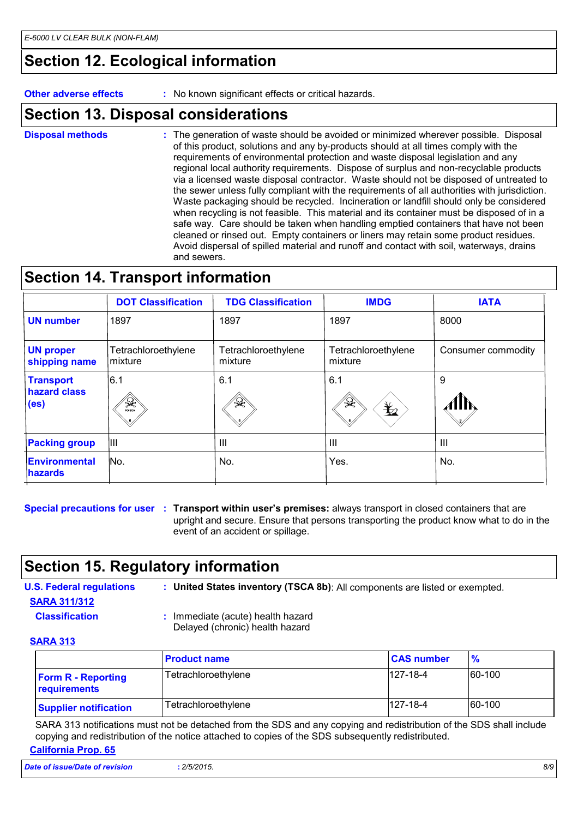### **Section 12. Ecological information**

**Other adverse effects :** No known significant effects or critical hazards.

### **Section 13. Disposal considerations**

The generation of waste should be avoided or minimized wherever possible. Disposal of this product, solutions and any by-products should at all times comply with the requirements of environmental protection and waste disposal legislation and any regional local authority requirements. Dispose of surplus and non-recyclable products via a licensed waste disposal contractor. Waste should not be disposed of untreated to the sewer unless fully compliant with the requirements of all authorities with jurisdiction. Waste packaging should be recycled. Incineration or landfill should only be considered when recycling is not feasible. This material and its container must be disposed of in a safe way. Care should be taken when handling emptied containers that have not been cleaned or rinsed out. Empty containers or liners may retain some product residues. Avoid dispersal of spilled material and runoff and contact with soil, waterways, drains and sewers. **Disposal methods :**

### **Section 14. Transport information**

|                                                       | <b>DOT Classification</b>      | <b>TDG Classification</b>      | <b>IMDG</b>                        | <b>IATA</b>        |
|-------------------------------------------------------|--------------------------------|--------------------------------|------------------------------------|--------------------|
| <b>UN number</b>                                      | 1897                           | 1897                           | 1897                               | 8000               |
| <b>UN proper</b><br>shipping name                     | Tetrachloroethylene<br>mixture | Tetrachloroethylene<br>mixture | Tetrachloroethylene<br>mixture     | Consumer commodity |
| <b>Transport</b><br>hazard class<br>(e <sub>s</sub> ) | 6.1<br>$\mathbb{R}$            | 6.1<br>字                       | 6.1<br>$\frac{1}{2}$<br>$\bigstar$ | 9                  |
| <b>Packing group</b>                                  | IШ                             | $\mathbf{III}$                 | $\mathbf{III}$                     | $\mathbf{III}$     |
| Environmental<br><b>hazards</b>                       | No.                            | No.                            | Yes.                               | No.                |

**Special precautions for user** : Transport within user's premises: always transport in closed containers that are upright and secure. Ensure that persons transporting the product know what to do in the event of an accident or spillage.

### **Section 15. Regulatory information**

**U.S. Federal regulations : SARA 311/312**

**United States inventory (TSCA 8b)**: All components are listed or exempted.

**Classification :** Immediate (acute) health hazard

Delayed (chronic) health hazard

### **SARA 313**

|                                           | <b>Product name</b> | <b>CAS number</b> | $\frac{9}{6}$ |
|-------------------------------------------|---------------------|-------------------|---------------|
| <b>Form R - Reporting</b><br>requirements | Tetrachloroethylene | $127 - 18 - 4$    | 60-100        |
| <b>Supplier notification</b>              | Tetrachloroethylene | $127 - 18 - 4$    | 60-100        |

SARA 313 notifications must not be detached from the SDS and any copying and redistribution of the SDS shall include copying and redistribution of the notice attached to copies of the SDS subsequently redistributed.

#### **California Prop. 65**

| Date of issue/Date of revision | : 2/5/2015. | 8/9 |
|--------------------------------|-------------|-----|
|                                |             |     |